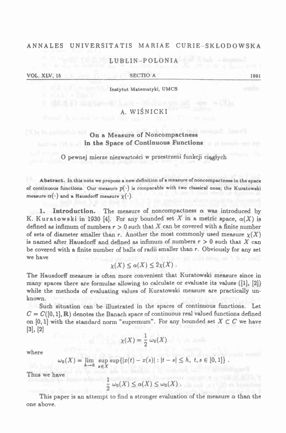## **ANNALES UNIVERSITATIS MARIAE CURIE-SKLODOWSK <sup>A</sup>**

## **LUBLIN-POLONIA**

**VOL. XLV, <sup>16</sup>\_\_\_\_\_\_\_\_\_\_\_\_\_\_\_\_\_\_\_\_\_\_\_\_\_\_SECTIO <sup>A</sup>\_\_\_\_\_\_\_\_ \_\_\_\_\_\_\_\_\_\_\_\_\_\_\_\_\_\_\_\_\_\_\_\_\_\_\_ <sup>1991</sup>**

**Instytut Matematyki,** UMCS

# **A. WIŚNICKI**

## **On <sup>a</sup> Measure of Noncompactness in the Space of Continuous Functions**

### **<sup>O</sup> pewnej mierze niezwartości <sup>w</sup> przestrzeni funkcji ciągłych**

Abstract. In this note we propose a new definition of a measure of noncompactness in the space of continuous functions. Our measure  $p(\cdot)$  is comparable with two classical ones; the Kuratowski  **measure**  $\alpha(\cdot)$  and a Hausdorff measure  $\chi(\cdot)$ .

1. **Introduction.** The measure of noncompactness  $\alpha$  was introduced by K. Kuratowski in 1930 [4]. For any bounded set X in a metric space,  $\alpha(X)$  is defined as infimum of numbers  $r > 0$  such that X can be covered with a finite number of sets of diameter smaller than r. Another the most commonly used measure  $\chi(X)$ is named after Hausdorff and defined as infimum of numbers  $r > 0$  such that X can be covered with a finite number of balls of radii smaller than r. Obviously for any set **we have**

$$
\chi(X)\leq \alpha(X)\leq 2\chi(X)\;.
$$

The Hausdorff measure is often more convenient that Kuratowski measure since in many spaces there are formulae allowing to calculate or evaluate its values ([1]. [2]) while the methods of evaluating values of Kuratowski measure are practically un**known.**

Such situation can be illustrated in the spaces of continuous functions. Let  $C = C([0,1], \mathbb{R})$  denotes the Banach space of continuous real valued functions defined on [0, 1] with the standard norm "supremum". For any bounded set  $X \subset C$  we have **[3], [2]**

$$
\chi(X) = \frac{1}{2} \omega_0(X)
$$

**where**

$$
\omega_0(X) = \lim_{h \to 0} \sup_{x \in X} \sup \{|x(t) - x(s)| : |t - s| \leq h, \ t, s \in [0,1]\}.
$$

**Thus we have**

$$
\frac{1}{2}\,\omega_0(X)\leq \alpha(X)\leq \omega_0(X)\;.
$$

This paper is an attempt to find a stronger evaluation of the measure  $\alpha$  than the **one above.**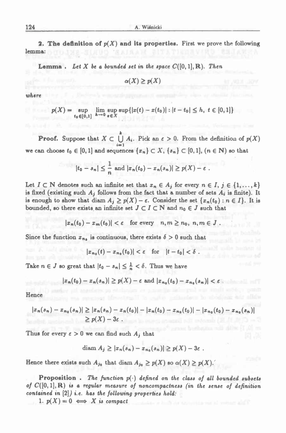**2. The definition of**  $p(X)$  **and its properties.** First we prove the following na: **lemma:**

**Lemma**. Let X be a bounded set in the space  $C([0,1], \mathbb{R})$ . Then

 $\alpha(X) \geq p(X)$ 

*where*

$$
p(X) = \sup_{t_0 \in [0,1]} \lim_{h \to 0} \sup_{x \in X} \sup_{x \in X} \{ |x(t) - x(t_0)| : |t - t_0| \le h, \ t \in [0,1] \}
$$

**Proof.** Suppose that  $X \subset \bigcup_{i=1}^k A_i$ . Pick an  $\epsilon > 0$ . From the definition of  $p(X)$ we can choose  $t_0 \in [0,1]$  and sequences  $\{x_n\} \subset X$ ,  $\{s_n\} \subset [0,1]$ ,  $(n \in \mathbb{N})$  so that

$$
|t_0-s_n|\leq \frac{1}{n} \text{ and } |x_n(t_0)-x_n(s_n)|\geq p(X)-\varepsilon.
$$

Let  $I \subset \mathbb{N}$  denotes such an infinite set that  $x_n \in A_j$  for every  $n \in I, j \in \{1, ..., k\}$ is fixed (existing such  $A_j$  follows from the fact that a number of sets  $A_i$  is finite). It is enough to show that diam  $A_i \geq p(X) - \varepsilon$ . Consider the set  $\{x_n(t_0) : n \in I\}$ . It is bounded, so there exists an infinite set  $J \subset I \subset N$  and  $n_0 \in J$  such that<br> $|x_n(t_0) - x_m(t_0)| < \varepsilon$  for every  $n, m \ge n_0, n, m \in J$ .

$$
|x_n(t_0)-x_m(t_0)|<\varepsilon\quad\text{for every}\quad n,m\geq n_0,\ n,m\in J
$$

Since the function  $x_{n_0}$  is continuous, there exists  $\delta > 0$  such that<br> $|x_{n_0}(t) - x_{n_0}(t_0)| < \varepsilon$  for  $|t - t_0| < \delta$ .

$$
|x_{n_0}(t)-x_{n_0}(t_0)|<\varepsilon\quad\text{for}\quad |t-t_0|<\delta
$$

Take  $n \in J$  so great that  $|t_0 - s_n| \leq \frac{1}{n} < \delta$ . Thus we have

$$
|x_n(t_0)-x_n(s_n)|\geq p(X)-\varepsilon \text{ and } |x_{n_0}(t_0)-x_{n_0}(s_n)|<\varepsilon
$$

Continued and

**Hence**

$$
|x_n(s_n)-x_{n_0}(s_n)| \geq |x_n(s_n)-x_n(t_0)|-|x_n(t_0)-x_{n_0}(t_0)|-|x_{n_0}(t_0)-x_{n_0}(s_n)|
$$
  
 
$$
\geq p(X)-3\varepsilon.
$$

Thus for every  $\epsilon > 0$  we can find such  $A_j$  that

$$
\text{diam } A_j \geq |x_n(s_n)-x_{n_0}(s_n)| \geq p(X)-3\varepsilon.
$$

Hence there exists such  $A_{j_0}$  that diam  $A_{j_0} \geq p(X)$  so  $\alpha(X) \geq p(X)$ .

Le there exists such  $A_{j_0}$  that diam  $A_{j_0} \geq p(X)$  so  $\alpha(X) \geq p(X)$ .<br>Proposition. The function  $p(\cdot)$  defined on the class of all bounded subsets of  $C([0,1],\mathbb{R})$  is a regular measure of noncompactness (in the sense of definition *contained in* **[2])** *i.e. has the following properties hold:*

1.  $p(X) = 0 \iff X$  is compact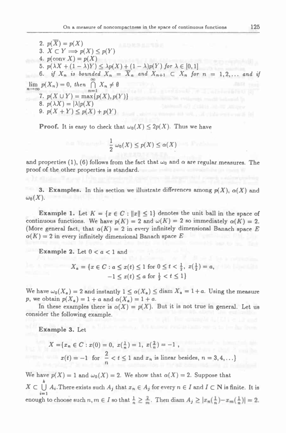**2.**  $p(X) = p(X)$  $3.$   $X \subset Y \implies p(X) \leq p(Y)$ **4.**  $p(\text{conv } X) = p(X)$ 5.  $p(\lambda X + (1 - \lambda)Y) \leq \lambda p(X) + (1 - \lambda)p(Y)$  for  $\lambda \in [0,1]$ 6. if  $X_n$  is bounded  $X_n = \overline{X}_n$  and  $X_{n+1} \subset X_n$  for  $n = 1, 2, ...$  and if  $\lim_{n\to\infty}p(X_n)=0,$  then  $\bigcap_{n\to\infty}^{\infty}X_n\neq\emptyset$ **7.**  $p(X \cup Y) = \max\{p(X), p(Y)\}$ **8.**  $p(\lambda X) = |\lambda|p(X)$ **9.**  $p(X + Y) \leq p(X) + p(Y)$ 

**Proof.** It is easy to check that  $\omega_0(X) \leq 2p(X)$ . Thus we have

$$
\frac{1}{2} \omega_0(X) \le p(X) \le \alpha(X)
$$

and properties (1), (6) follows from the fact that  $\omega_0$  and  $\alpha$  are regular measures. The **proof of the other properties is standard.**

**3.** Examples. In this section we illustrate differences among  $p(X)$ ,  $\alpha(X)$  and  $\omega_0(X)$ .

**Example 1.** Let  $K = \{x \in C : ||x|| \le 1\}$  denotes the unit ball in the space of **Example 1.** Let  $K = \{x \in C : ||x|| \le 1\}$  denotes the unit ball in the space of continuous functions. We have  $p(K) = 2$  and  $\omega(K) = 2$  so immediately  $\alpha(K) = 2$ . continuous functions. We have  $p(K) = 2$  and  $\omega(K) = 2$  so immediately  $\alpha(K) = 2$ .<br>(More general fact, that  $\alpha(K) = 2$  in every infinitely dimensional Banach space E  $a(K) = 2$  in every infinitely dimensional Banach space E

**Example** 2. Let  $0 < a < 1$  and

$$
X_a = \{x \in C : a \le x(t) \le 1 \text{ for } 0 \le t < \frac{1}{2}, x(\frac{1}{2}) = a, -1 \le x(t) \le a \text{ for } \frac{1}{2} < t \le 1\}
$$

We have  $\omega_0(X_a) = 2$  and instantly  $1 \leq \alpha(X_a) \leq \text{diam } X_a = 1 + a$ . Using the measure p, we obtain  $p(X_a) = 1 + a$  and  $\alpha(X_a) = 1 + a$ .

In these examples there is  $\alpha(X) = p(X)$ . But it is not true in general. Let us **consider the following example.**

**Example 3. Let**

$$
X = \{x_n \in C : x(0) = 0, \ x(\frac{1}{n}) = 1, \ x(\frac{2}{n}) = -1, \ x(t) = -1 \text{ for } \frac{2}{n} < t \le 1 \text{ and } x_n \text{ is linear besides, } n = 3, 4, \ldots \}
$$

We have  $p(X) = 1$  and  $\omega_0(X) = 2$ . We show that  $\alpha(X) = 2$ . Suppose that

 $X \subset \bigcup_{i=1}^k A_i$ . There exists such  $A_j$  that  $x_n \in A_j$  for every  $n \in I$  and  $I \subset \mathbb{N}$  is finite. It is enough to choose such  $n, m \in I$  so that  $\frac{1}{n} \geq \frac{2}{m}$ . Then diam  $A_j \geq |x_n(\frac{1}{n}) - x_m(\frac{1}{n})| = 2$ .